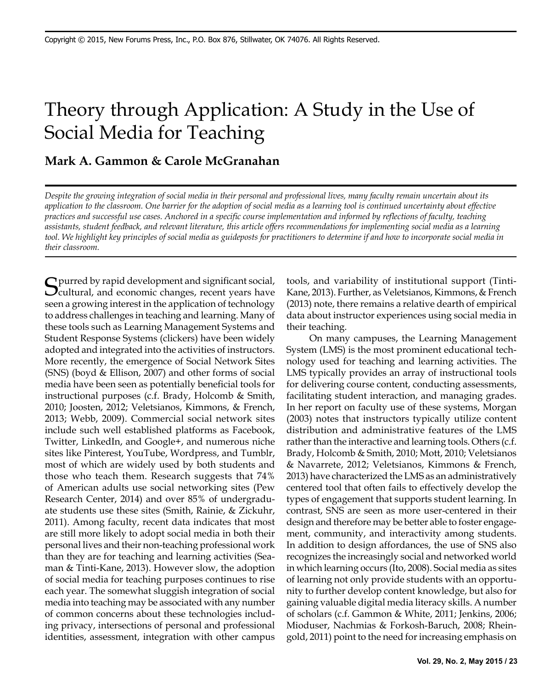# Theory through Application: A Study in the Use of Social Media for Teaching

#### **Mark A. Gammon & Carole McGranahan**

*Despite the growing integration of social media in their personal and professional lives, many faculty remain uncertain about its application to the classroom. One barrier for the adoption of social media as a learning tool is continued uncertainty about effective practices and successful use cases. Anchored in a specific course implementation and informed by reflections of faculty, teaching assistants, student feedback, and relevant literature, this article offers recommendations for implementing social media as a learning tool. We highlight key principles of social media as guideposts for practitioners to determine if and how to incorporate social media in their classroom.* 

 $C$  purred by rapid development and significant social, **Cultural, and economic changes, recent years have** seen a growing interest in the application of technology to address challenges in teaching and learning. Many of these tools such as Learning Management Systems and Student Response Systems (clickers) have been widely adopted and integrated into the activities of instructors. More recently, the emergence of Social Network Sites (SNS) (boyd & Ellison, 2007) and other forms of social media have been seen as potentially beneficial tools for instructional purposes (c.f. Brady, Holcomb & Smith, 2010; Joosten, 2012; Veletsianos, Kimmons, & French, 2013; Webb, 2009). Commercial social network sites include such well established platforms as Facebook, Twitter, LinkedIn, and Google+, and numerous niche sites like Pinterest, YouTube, Wordpress, and Tumblr, most of which are widely used by both students and those who teach them. Research suggests that 74% of American adults use social networking sites (Pew Research Center, 2014) and over 85% of undergraduate students use these sites (Smith, Rainie, & Zickuhr, 2011). Among faculty, recent data indicates that most are still more likely to adopt social media in both their personal lives and their non-teaching professional work than they are for teaching and learning activities (Seaman & Tinti-Kane, 2013). However slow, the adoption of social media for teaching purposes continues to rise each year. The somewhat sluggish integration of social media into teaching may be associated with any number of common concerns about these technologies including privacy, intersections of personal and professional identities, assessment, integration with other campus

tools, and variability of institutional support (Tinti-Kane, 2013). Further, as Veletsianos, Kimmons, & French (2013) note, there remains a relative dearth of empirical data about instructor experiences using social media in their teaching.

On many campuses, the Learning Management System (LMS) is the most prominent educational technology used for teaching and learning activities. The LMS typically provides an array of instructional tools for delivering course content, conducting assessments, facilitating student interaction, and managing grades. In her report on faculty use of these systems, Morgan (2003) notes that instructors typically utilize content distribution and administrative features of the LMS rather than the interactive and learning tools. Others (c.f. Brady, Holcomb & Smith, 2010; Mott, 2010; Veletsianos & Navarrete, 2012; Veletsianos, Kimmons & French, 2013) have characterized the LMS as an administratively centered tool that often fails to effectively develop the types of engagement that supports student learning. In contrast, SNS are seen as more user-centered in their design and therefore may be better able to foster engagement, community, and interactivity among students. In addition to design affordances, the use of SNS also recognizes the increasingly social and networked world in which learning occurs (Ito, 2008). Social media as sites of learning not only provide students with an opportunity to further develop content knowledge, but also for gaining valuable digital media literacy skills. A number of scholars (c.f. Gammon & White, 2011; Jenkins, 2006; Mioduser, Nachmias & Forkosh-Baruch, 2008; Rheingold, 2011) point to the need for increasing emphasis on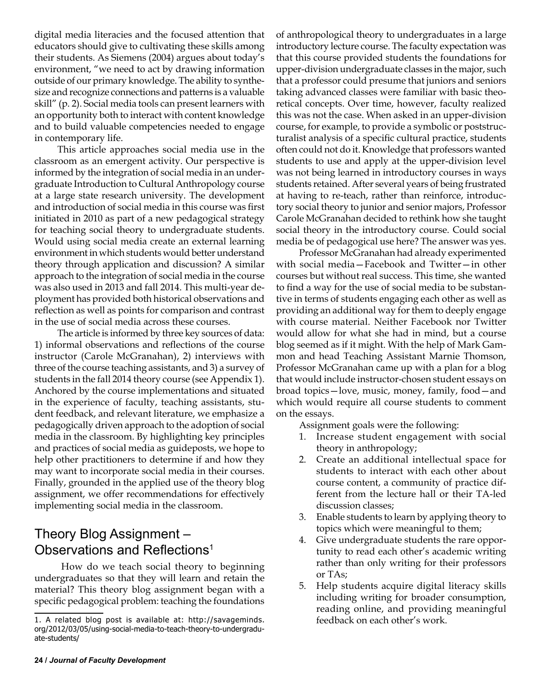digital media literacies and the focused attention that educators should give to cultivating these skills among their students. As Siemens (2004) argues about today's environment, "we need to act by drawing information outside of our primary knowledge. The ability to synthesize and recognize connections and patterns is a valuable skill" (p. 2). Social media tools can present learners with an opportunity both to interact with content knowledge and to build valuable competencies needed to engage in contemporary life.

This article approaches social media use in the classroom as an emergent activity. Our perspective is informed by the integration of social media in an undergraduate Introduction to Cultural Anthropology course at a large state research university. The development and introduction of social media in this course was first initiated in 2010 as part of a new pedagogical strategy for teaching social theory to undergraduate students. Would using social media create an external learning environment in which students would better understand theory through application and discussion? A similar approach to the integration of social media in the course was also used in 2013 and fall 2014. This multi-year deployment has provided both historical observations and reflection as well as points for comparison and contrast in the use of social media across these courses.

The article is informed by three key sources of data: 1) informal observations and reflections of the course instructor (Carole McGranahan), 2) interviews with three of the course teaching assistants, and 3) a survey of students in the fall 2014 theory course (see Appendix 1). Anchored by the course implementations and situated in the experience of faculty, teaching assistants, student feedback, and relevant literature, we emphasize a pedagogically driven approach to the adoption of social media in the classroom. By highlighting key principles and practices of social media as guideposts, we hope to help other practitioners to determine if and how they may want to incorporate social media in their courses. Finally, grounded in the applied use of the theory blog assignment, we offer recommendations for effectively implementing social media in the classroom.

### Theory Blog Assignment – Observations and Reflections<sup>1</sup>

 How do we teach social theory to beginning undergraduates so that they will learn and retain the material? This theory blog assignment began with a specific pedagogical problem: teaching the foundations

of anthropological theory to undergraduates in a large introductory lecture course. The faculty expectation was that this course provided students the foundations for upper-division undergraduate classes in the major, such that a professor could presume that juniors and seniors taking advanced classes were familiar with basic theoretical concepts. Over time, however, faculty realized this was not the case. When asked in an upper-division course, for example, to provide a symbolic or poststructuralist analysis of a specific cultural practice, students often could not do it. Knowledge that professors wanted students to use and apply at the upper-division level was not being learned in introductory courses in ways students retained. After several years of being frustrated at having to re-teach, rather than reinforce, introductory social theory to junior and senior majors, Professor Carole McGranahan decided to rethink how she taught social theory in the introductory course. Could social media be of pedagogical use here? The answer was yes.

Professor McGranahan had already experimented with social media—Facebook and Twitter—in other courses but without real success. This time, she wanted to find a way for the use of social media to be substantive in terms of students engaging each other as well as providing an additional way for them to deeply engage with course material. Neither Facebook nor Twitter would allow for what she had in mind, but a course blog seemed as if it might. With the help of Mark Gammon and head Teaching Assistant Marnie Thomson, Professor McGranahan came up with a plan for a blog that would include instructor-chosen student essays on broad topics—love, music, money, family, food—and which would require all course students to comment on the essays.

Assignment goals were the following:

- 1. Increase student engagement with social theory in anthropology;
- 2. Create an additional intellectual space for students to interact with each other about course content, a community of practice different from the lecture hall or their TA-led discussion classes;
- 3. Enable students to learn by applying theory to topics which were meaningful to them;
- 4. Give undergraduate students the rare opportunity to read each other's academic writing rather than only writing for their professors or TAs;
- 5. Help students acquire digital literacy skills including writing for broader consumption, reading online, and providing meaningful feedback on each other's work.

<sup>1.</sup> A related blog post is available at: http://savageminds. org/2012/03/05/using-social-media-to-teach-theory-to-undergraduate-students/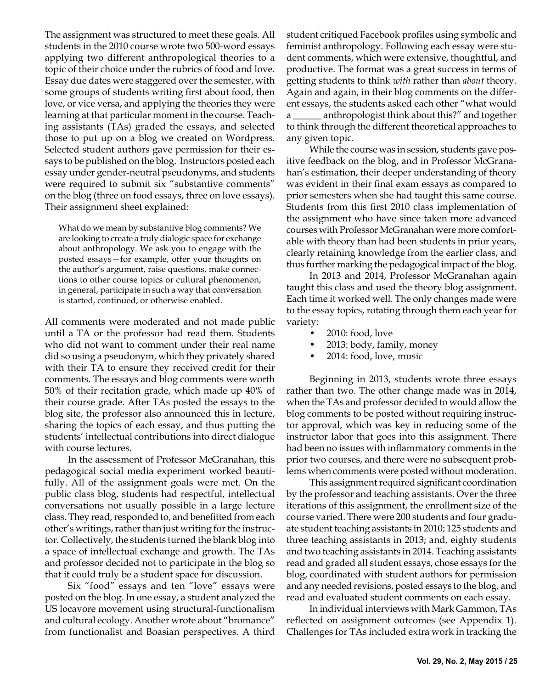The assignment was structured to meet these goals. All students in the 2010 course wrote two 500-word essays applying two different anthropological theories to a topic of their choice under the rubrics of food and love. Essay due dates were staggered over the semester, with some groups of students writing first about food, then love, or vice versa, and applying the theories they were learning at that particular moment in the course. Teaching assistants (TAs) graded the essays, and selected those to put up on a blog we created on Wordpress. Selected student authors gave permission for their essays to be published on the blog. Instructors posted each essay under gender-neutral pseudonyms, and students were required to submit six "substantive comments" on the blog (three on food essays, three on love essays). Their assignment sheet explained:

What do we mean by substantive blog comments? We are looking to create a truly dialogic space for exchange about anthropology. We ask you to engage with the posted essays—for example, offer your thoughts on the author's argument, raise questions, make connections to other course topics or cultural phenomenon, in general, participate in such a way that conversation is started, continued, or otherwise enabled.

All comments were moderated and not made public until a TA or the professor had read them. Students who did not want to comment under their real name did so using a pseudonym, which they privately shared with their TA to ensure they received credit for their comments. The essays and blog comments were worth 50% of their recitation grade, which made up 40% of their course grade. After TAs posted the essays to the blog site, the professor also announced this in lecture, sharing the topics of each essay, and thus putting the students' intellectual contributions into direct dialogue with course lectures.

In the assessment of Professor McGranahan, this pedagogical social media experiment worked beautifully. All of the assignment goals were met. On the public class blog, students had respectful, intellectual conversations not usually possible in a large lecture class. They read, responded to, and benefitted from each other's writings, rather than just writing for the instructor. Collectively, the students turned the blank blog into a space of intellectual exchange and growth. The TAs and professor decided not to participate in the blog so that it could truly be a student space for discussion.

Six "food" essays and ten "love" essays were posted on the blog. In one essay, a student analyzed the US locavore movement using structural-functionalism and cultural ecology. Another wrote about "bromance" from functionalist and Boasian perspectives. A third student critiqued Facebook profiles using symbolic and feminist anthropology. Following each essay were student comments, which were extensive, thoughtful, and productive. The format was a great success in terms of getting students to think *with* rather than *about* theory. Again and again, in their blog comments on the different essays, the students asked each other "what would a \_\_\_\_\_\_ anthropologist think about this?" and together to think through the different theoretical approaches to any given topic.

While the course was in session, students gave positive feedback on the blog, and in Professor McGranahan's estimation, their deeper understanding of theory was evident in their final exam essays as compared to prior semesters when she had taught this same course. Students from this first 2010 class implementation of the assignment who have since taken more advanced courses with Professor McGranahan were more comfortable with theory than had been students in prior years, clearly retaining knowledge from the earlier class, and thus further marking the pedagogical impact of the blog.

In 2013 and 2014, Professor McGranahan again taught this class and used the theory blog assignment. Each time it worked well. The only changes made were to the essay topics, rotating through them each year for variety:

- 2010: food, love
- 2013: body, family, money
- 2014: food, love, music

Beginning in 2013, students wrote three essays rather than two. The other change made was in 2014, when the TAs and professor decided to would allow the blog comments to be posted without requiring instructor approval, which was key in reducing some of the instructor labor that goes into this assignment. There had been no issues with inflammatory comments in the prior two courses, and there were no subsequent problems when comments were posted without moderation.

This assignment required significant coordination by the professor and teaching assistants. Over the three iterations of this assignment, the enrollment size of the course varied. There were 200 students and four graduate student teaching assistants in 2010; 125 students and three teaching assistants in 2013; and, eighty students and two teaching assistants in 2014. Teaching assistants read and graded all student essays, chose essays for the blog, coordinated with student authors for permission and any needed revisions, posted essays to the blog, and read and evaluated student comments on each essay.

In individual interviews with Mark Gammon, TAs reflected on assignment outcomes (see Appendix 1). Challenges for TAs included extra work in tracking the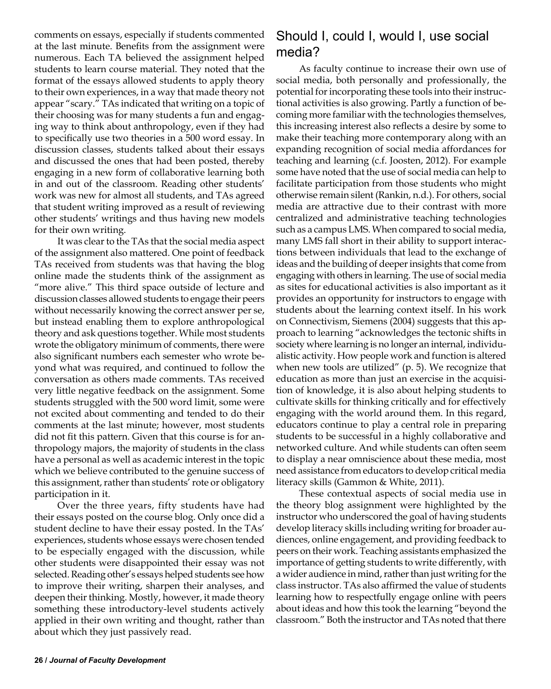comments on essays, especially if students commented at the last minute. Benefits from the assignment were numerous. Each TA believed the assignment helped students to learn course material. They noted that the format of the essays allowed students to apply theory to their own experiences, in a way that made theory not appear "scary." TAs indicated that writing on a topic of their choosing was for many students a fun and engaging way to think about anthropology, even if they had to specifically use two theories in a 500 word essay. In discussion classes, students talked about their essays and discussed the ones that had been posted, thereby engaging in a new form of collaborative learning both in and out of the classroom. Reading other students' work was new for almost all students, and TAs agreed that student writing improved as a result of reviewing other students' writings and thus having new models for their own writing.

It was clear to the TAs that the social media aspect of the assignment also mattered. One point of feedback TAs received from students was that having the blog online made the students think of the assignment as "more alive." This third space outside of lecture and discussion classes allowed students to engage their peers without necessarily knowing the correct answer per se, but instead enabling them to explore anthropological theory and ask questions together. While most students wrote the obligatory minimum of comments, there were also significant numbers each semester who wrote beyond what was required, and continued to follow the conversation as others made comments. TAs received very little negative feedback on the assignment. Some students struggled with the 500 word limit, some were not excited about commenting and tended to do their comments at the last minute; however, most students did not fit this pattern. Given that this course is for anthropology majors, the majority of students in the class have a personal as well as academic interest in the topic which we believe contributed to the genuine success of this assignment, rather than students' rote or obligatory participation in it.

Over the three years, fifty students have had their essays posted on the course blog. Only once did a student decline to have their essay posted. In the TAs' experiences, students whose essays were chosen tended to be especially engaged with the discussion, while other students were disappointed their essay was not selected. Reading other's essays helped students see how to improve their writing, sharpen their analyses, and deepen their thinking. Mostly, however, it made theory something these introductory-level students actively applied in their own writing and thought, rather than about which they just passively read.

#### Should I, could I, would I, use social media?

As faculty continue to increase their own use of social media, both personally and professionally, the potential for incorporating these tools into their instructional activities is also growing. Partly a function of becoming more familiar with the technologies themselves, this increasing interest also reflects a desire by some to make their teaching more contemporary along with an expanding recognition of social media affordances for teaching and learning (c.f. Joosten, 2012). For example some have noted that the use of social media can help to facilitate participation from those students who might otherwise remain silent (Rankin, n.d.). For others, social media are attractive due to their contrast with more centralized and administrative teaching technologies such as a campus LMS. When compared to social media, many LMS fall short in their ability to support interactions between individuals that lead to the exchange of ideas and the building of deeper insights that come from engaging with others in learning. The use of social media as sites for educational activities is also important as it provides an opportunity for instructors to engage with students about the learning context itself. In his work on Connectivism, Siemens (2004) suggests that this approach to learning "acknowledges the tectonic shifts in society where learning is no longer an internal, individualistic activity. How people work and function is altered when new tools are utilized" (p. 5). We recognize that education as more than just an exercise in the acquisition of knowledge, it is also about helping students to cultivate skills for thinking critically and for effectively engaging with the world around them. In this regard, educators continue to play a central role in preparing students to be successful in a highly collaborative and networked culture. And while students can often seem to display a near omniscience about these media, most need assistance from educators to develop critical media literacy skills (Gammon & White, 2011).

These contextual aspects of social media use in the theory blog assignment were highlighted by the instructor who underscored the goal of having students develop literacy skills including writing for broader audiences, online engagement, and providing feedback to peers on their work. Teaching assistants emphasized the importance of getting students to write differently, with a wider audience in mind, rather than just writing for the class instructor. TAs also affirmed the value of students learning how to respectfully engage online with peers about ideas and how this took the learning "beyond the classroom." Both the instructor and TAs noted that there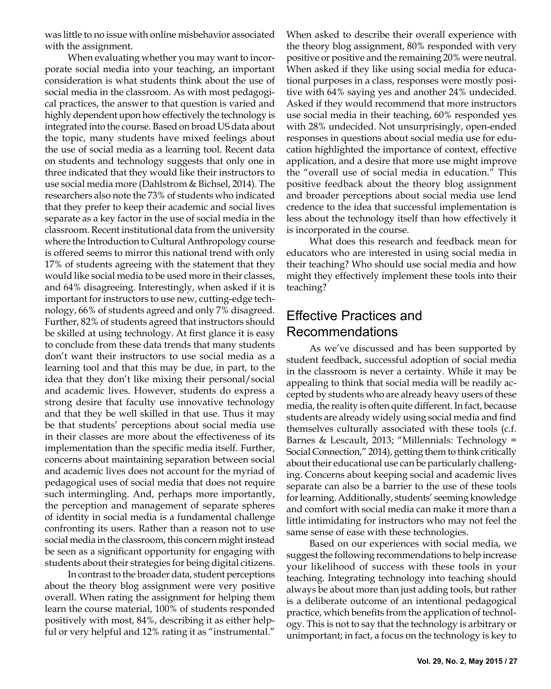was little to no issue with online misbehavior associated with the assignment.

When evaluating whether you may want to incorporate social media into your teaching, an important consideration is what students think about the use of social media in the classroom. As with most pedagogical practices, the answer to that question is varied and highly dependent upon how effectively the technology is integrated into the course. Based on broad US data about the topic, many students have mixed feelings about the use of social media as a learning tool. Recent data on students and technology suggests that only one in three indicated that they would like their instructors to use social media more (Dahlstrom & Bichsel, 2014). The researchers also note the 73% of students who indicated that they prefer to keep their academic and social lives separate as a key factor in the use of social media in the classroom. Recent institutional data from the university where the Introduction to Cultural Anthropology course is offered seems to mirror this national trend with only 17% of students agreeing with the statement that they would like social media to be used more in their classes, and 64% disagreeing. Interestingly, when asked if it is important for instructors to use new, cutting-edge technology, 66% of students agreed and only 7% disagreed. Further, 82% of students agreed that instructors should be skilled at using technology. At first glance it is easy to conclude from these data trends that many students don't want their instructors to use social media as a learning tool and that this may be due, in part, to the idea that they don't like mixing their personal/social and academic lives. However, students do express a strong desire that faculty use innovative technology and that they be well skilled in that use. Thus it may be that students' perceptions about social media use in their classes are more about the effectiveness of its implementation than the specific media itself. Further, concerns about maintaining separation between social and academic lives does not account for the myriad of pedagogical uses of social media that does not require such intermingling. And, perhaps more importantly, the perception and management of separate spheres of identity in social media is a fundamental challenge confronting its users. Rather than a reason not to use social media in the classroom, this concern might instead be seen as a significant opportunity for engaging with students about their strategies for being digital citizens.

In contrast to the broader data, student perceptions about the theory blog assignment were very positive overall. When rating the assignment for helping them learn the course material, 100% of students responded positively with most, 84%, describing it as either helpful or very helpful and 12% rating it as "instrumental."

When asked to describe their overall experience with the theory blog assignment, 80% responded with very positive or positive and the remaining 20% were neutral. When asked if they like using social media for educational purposes in a class, responses were mostly positive with 64% saying yes and another 24% undecided. Asked if they would recommend that more instructors use social media in their teaching, 60% responded yes with 28% undecided. Not unsurprisingly, open-ended responses in questions about social media use for education highlighted the importance of context, effective application, and a desire that more use might improve the "overall use of social media in education." This positive feedback about the theory blog assignment and broader perceptions about social media use lend credence to the idea that successful implementation is less about the technology itself than how effectively it is incorporated in the course.

What does this research and feedback mean for educators who are interested in using social media in their teaching? Who should use social media and how might they effectively implement these tools into their teaching?

#### Effective Practices and Recommendations

As we've discussed and has been supported by student feedback, successful adoption of social media in the classroom is never a certainty. While it may be appealing to think that social media will be readily accepted by students who are already heavy users of these media, the reality is often quite different. In fact, because students are already widely using social media and find themselves culturally associated with these tools (c.f. Barnes & Lescault, 2013; "Millennials: Technology = Social Connection," 2014), getting them to think critically about their educational use can be particularly challenging. Concerns about keeping social and academic lives separate can also be a barrier to the use of these tools for learning. Additionally, students' seeming knowledge and comfort with social media can make it more than a little intimidating for instructors who may not feel the same sense of ease with these technologies.

Based on our experiences with social media, we suggest the following recommendations to help increase your likelihood of success with these tools in your teaching. Integrating technology into teaching should always be about more than just adding tools, but rather is a deliberate outcome of an intentional pedagogical practice, which benefits from the application of technology. This is not to say that the technology is arbitrary or unimportant; in fact, a focus on the technology is key to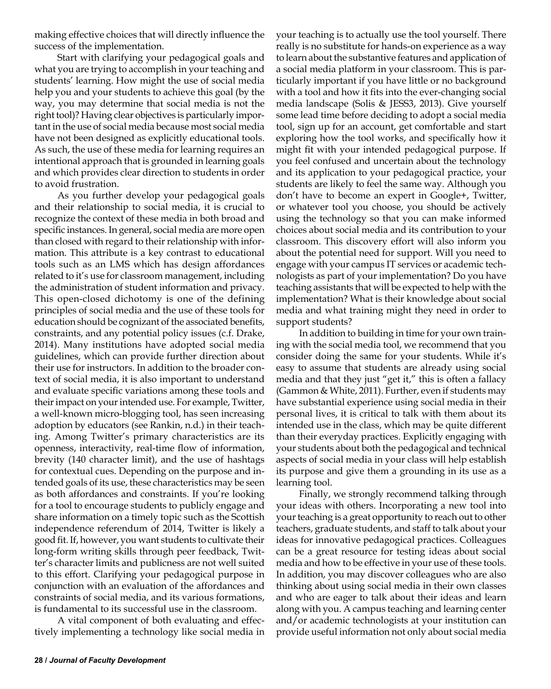making effective choices that will directly influence the success of the implementation.

Start with clarifying your pedagogical goals and what you are trying to accomplish in your teaching and students' learning. How might the use of social media help you and your students to achieve this goal (by the way, you may determine that social media is not the right tool)? Having clear objectives is particularly important in the use of social media because most social media have not been designed as explicitly educational tools. As such, the use of these media for learning requires an intentional approach that is grounded in learning goals and which provides clear direction to students in order to avoid frustration.

As you further develop your pedagogical goals and their relationship to social media, it is crucial to recognize the context of these media in both broad and specific instances. In general, social media are more open than closed with regard to their relationship with information. This attribute is a key contrast to educational tools such as an LMS which has design affordances related to it's use for classroom management, including the administration of student information and privacy. This open-closed dichotomy is one of the defining principles of social media and the use of these tools for education should be cognizant of the associated benefits, constraints, and any potential policy issues (c.f. Drake, 2014). Many institutions have adopted social media guidelines, which can provide further direction about their use for instructors. In addition to the broader context of social media, it is also important to understand and evaluate specific variations among these tools and their impact on your intended use. For example, Twitter, a well-known micro-blogging tool, has seen increasing adoption by educators (see Rankin, n.d.) in their teaching. Among Twitter's primary characteristics are its openness, interactivity, real-time flow of information, brevity (140 character limit), and the use of hashtags for contextual cues. Depending on the purpose and intended goals of its use, these characteristics may be seen as both affordances and constraints. If you're looking for a tool to encourage students to publicly engage and share information on a timely topic such as the Scottish independence referendum of 2014, Twitter is likely a good fit. If, however, you want students to cultivate their long-form writing skills through peer feedback, Twitter's character limits and publicness are not well suited to this effort. Clarifying your pedagogical purpose in conjunction with an evaluation of the affordances and constraints of social media, and its various formations, is fundamental to its successful use in the classroom.

A vital component of both evaluating and effectively implementing a technology like social media in your teaching is to actually use the tool yourself. There really is no substitute for hands-on experience as a way to learn about the substantive features and application of a social media platform in your classroom. This is particularly important if you have little or no background with a tool and how it fits into the ever-changing social media landscape (Solis & JESS3, 2013). Give yourself some lead time before deciding to adopt a social media tool, sign up for an account, get comfortable and start exploring how the tool works, and specifically how it might fit with your intended pedagogical purpose. If you feel confused and uncertain about the technology and its application to your pedagogical practice, your students are likely to feel the same way. Although you don't have to become an expert in Google+, Twitter, or whatever tool you choose, you should be actively using the technology so that you can make informed choices about social media and its contribution to your classroom. This discovery effort will also inform you about the potential need for support. Will you need to engage with your campus IT services or academic technologists as part of your implementation? Do you have teaching assistants that will be expected to help with the implementation? What is their knowledge about social media and what training might they need in order to support students?

In addition to building in time for your own training with the social media tool, we recommend that you consider doing the same for your students. While it's easy to assume that students are already using social media and that they just "get it," this is often a fallacy (Gammon & White, 2011). Further, even if students may have substantial experience using social media in their personal lives, it is critical to talk with them about its intended use in the class, which may be quite different than their everyday practices. Explicitly engaging with your students about both the pedagogical and technical aspects of social media in your class will help establish its purpose and give them a grounding in its use as a learning tool.

Finally, we strongly recommend talking through your ideas with others. Incorporating a new tool into your teaching is a great opportunity to reach out to other teachers, graduate students, and staff to talk about your ideas for innovative pedagogical practices. Colleagues can be a great resource for testing ideas about social media and how to be effective in your use of these tools. In addition, you may discover colleagues who are also thinking about using social media in their own classes and who are eager to talk about their ideas and learn along with you. A campus teaching and learning center and/or academic technologists at your institution can provide useful information not only about social media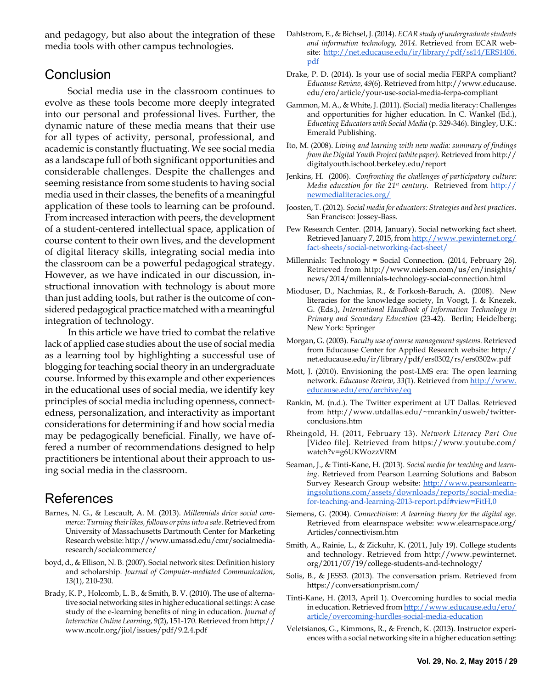and pedagogy, but also about the integration of these media tools with other campus technologies.

#### **Conclusion**

Social media use in the classroom continues to evolve as these tools become more deeply integrated into our personal and professional lives. Further, the dynamic nature of these media means that their use for all types of activity, personal, professional, and academic is constantly fluctuating. We see social media as a landscape full of both significant opportunities and considerable challenges. Despite the challenges and seeming resistance from some students to having social media used in their classes, the benefits of a meaningful application of these tools to learning can be profound. From increased interaction with peers, the development of a student-centered intellectual space, application of course content to their own lives, and the development of digital literacy skills, integrating social media into the classroom can be a powerful pedagogical strategy. However, as we have indicated in our discussion, instructional innovation with technology is about more than just adding tools, but rather is the outcome of considered pedagogical practice matched with a meaningful integration of technology.

In this article we have tried to combat the relative lack of applied case studies about the use of social media as a learning tool by highlighting a successful use of blogging for teaching social theory in an undergraduate course. Informed by this example and other experiences in the educational uses of social media, we identify key principles of social media including openness, connectedness, personalization, and interactivity as important considerations for determining if and how social media may be pedagogically beneficial. Finally, we have offered a number of recommendations designed to help practitioners be intentional about their approach to using social media in the classroom.

#### References

- Barnes, N. G., & Lescault, A. M. (2013). *Millennials drive social commerce: Turning their likes, follows or pins into a sale*. Retrieved from University of Massachusetts Dartmouth Center for Marketing Research website: http://www.umassd.edu/cmr/socialmediaresearch/socialcommerce/
- boyd, d., & Ellison, N. B. (2007). Social network sites: Definition history and scholarship. *Journal of Computer-mediated Communication*, *13*(1), 210-230.
- Brady, K. P., Holcomb, L. B., & Smith, B. V. (2010). The use of alternative social networking sites in higher educational settings: A case study of the e-learning benefits of ning in education. *Journal of Interactive Online Learning*, *9*(2), 151-170. Retrieved from http:// www.ncolr.org/jiol/issues/pdf/9.2.4.pdf
- Dahlstrom, E., & Bichsel, J. (2014). *ECAR study of undergraduate students and information technology, 2014*. Retrieved from ECAR website: [http://net.educause.edu/ir/library/pdf/ss14/ERS1406.](http://net.educause.edu/ir/library/pdf/ss14/ERS1406.pdf) [pdf](http://net.educause.edu/ir/library/pdf/ss14/ERS1406.pdf)
- Drake, P. D. (2014). Is your use of social media FERPA compliant? *Educause Review*, *49*(6). Retrieved from http://www.educause. edu/ero/article/your-use-social-media-ferpa-compliant
- Gammon, M. A., & White, J. (2011). (Social) media literacy: Challenges and opportunities for higher education. In C. Wankel (Ed.), *Educating Educators with Social Media* (p. 329-346). Bingley, U.K.: Emerald Publishing.
- Ito, M. (2008). *Living and learning with new media: summary of findings from the Digital Youth Project (white paper)*. Retrieved from http:// digitalyouth.ischool.berkeley.edu/report
- Jenkins, H. (2006). *Confronting the challenges of participatory culture: Media education for the 21st century*. Retrieved from [http://](http://newmedialiteracies.org/) [newmedialiteracies.org/](http://newmedialiteracies.org/)
- Joosten, T. (2012). *Social media for educators: Strategies and best practices*. San Francisco: Jossey-Bass.
- Pew Research Center. (2014, January). Social networking fact sheet. Retrieved January 7, 2015, from [http://www.pewinternet.org/](http://www.pewinternet.org/fact-sheets/social-networking-fact-sheet/) [fact-sheets/social-networking-fact-sheet/](http://www.pewinternet.org/fact-sheets/social-networking-fact-sheet/)
- Millennials: Technology = Social Connection. (2014, February 26). Retrieved from http://www.nielsen.com/us/en/insights/ news/2014/millennials-technology-social-connection.html
- Mioduser, D., Nachmias, R., & Forkosh-Baruch, A. (2008). New literacies for the knowledge society, In Voogt, J. & Knezek, G. (Eds.), *International Handbook of Information Technology in Primary and Secondary Education* (23-42). Berlin; Heidelberg; New York: Springer
- Morgan, G. (2003). *Faculty use of course management systems*. Retrieved from Educause Center for Applied Research website: http:// net.educause.edu/ir/library/pdf/ers0302/rs/ers0302w.pdf
- Mott, J. (2010). Envisioning the post-LMS era: The open learning network. *Educause Review*, *33*(1). Retrieved from [http://www.](http://www.educause.edu/ero/archive/eq) [educause.edu/ero/archive/eq](http://www.educause.edu/ero/archive/eq)
- Rankin, M. (n.d.). The Twitter experiment at UT Dallas. Retrieved from http://www.utdallas.edu/~mrankin/usweb/twitterconclusions.htm
- Rheingold, H. (2011, February 13). *Network Literacy Part One* [Video file]. Retrieved from https://www.youtube.com/ watch?v=g6UKWozzVRM
- Seaman, J., & Tinti-Kane, H. (2013). *Social media for teaching and learning*. Retrieved from Pearson Learning Solutions and Babson Survey Research Group website: http://www.pearsonlearningsolutions.com/assets/downloads/reports/social-mediafor-teaching-and-learning-2013-report.pdf#view=FitH,0
- Siemens, G. (2004). *Connectivism: A learning theory for the digital age*. Retrieved from elearnspace website: www.elearnspace.org/ Articles/connectivism.htm
- Smith, A., Rainie, L., & Zickuhr, K. (2011, July 19). College students and technology. Retrieved from http://www.pewinternet. org/2011/07/19/college-students-and-technology/
- Solis, B., & JESS3. (2013). The conversation prism. Retrieved from https://conversationprism.com/
- Tinti-Kane, H. (2013, April 1). Overcoming hurdles to social media in education. Retrieved from [http://www.educause.edu/ero/](http://www.educause.edu/ero/article/overcoming-hurdles-social-media-education) [article/overcoming-hurdles-social-media-education](http://www.educause.edu/ero/article/overcoming-hurdles-social-media-education)
- Veletsianos, G., Kimmons, R., & French, K. (2013). Instructor experiences with a social networking site in a higher education setting: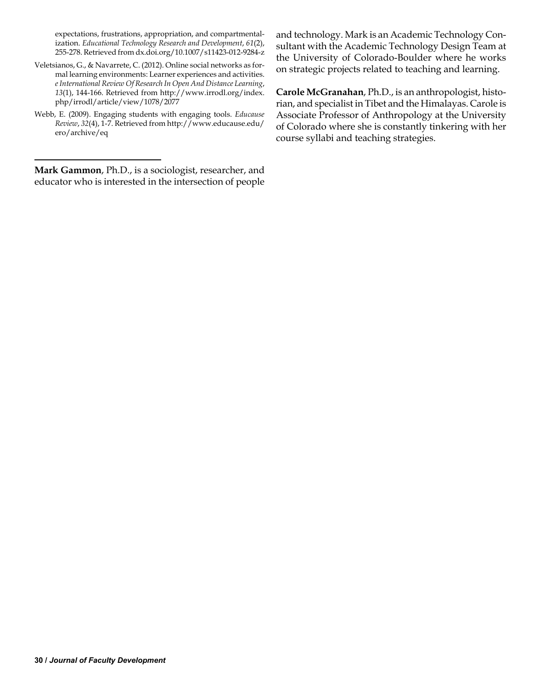expectations, frustrations, appropriation, and compartmentalization. *Educational Technology Research and Development*, *61*(2), 255-278. Retrieved from dx.doi.org/10.1007/s11423-012-9284-z

- Veletsianos, G., & Navarrete, C. (2012). Online social networks as formal learning environments: Learner experiences and activities. *e International Review Of Research In Open And Distance Learning*, *13*(1), 144-166. Retrieved from http://www.irrodl.org/index. php/irrodl/article/view/1078/2077
- Webb, E. (2009). Engaging students with engaging tools. *Educause Review*, *32*(4), 1-7. Retrieved from http://www.educause.edu/ ero/archive/eq

**Mark Gammon**, Ph.D., is a sociologist, researcher, and educator who is interested in the intersection of people

and technology. Mark is an Academic Technology Consultant with the Academic Technology Design Team at the University of Colorado-Boulder where he works on strategic projects related to teaching and learning.

**Carole McGranahan**, Ph.D., is an anthropologist, historian, and specialist in Tibet and the Himalayas. Carole is Associate Professor of Anthropology at the University of Colorado where she is constantly tinkering with her course syllabi and teaching strategies.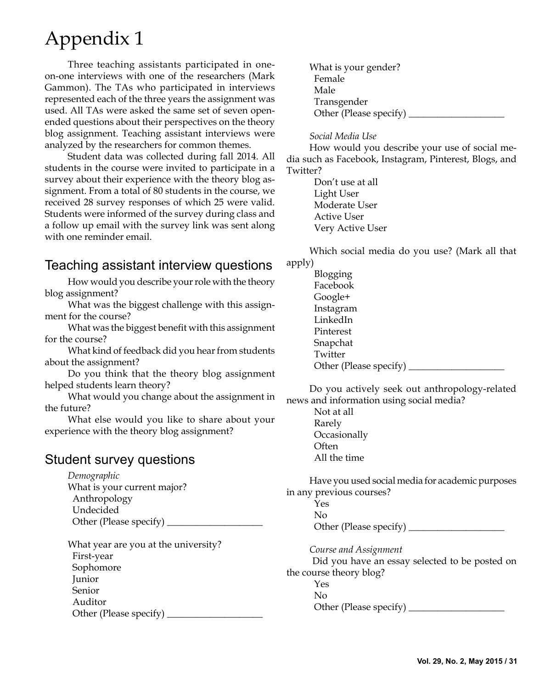# Appendix 1

Three teaching assistants participated in oneon-one interviews with one of the researchers (Mark Gammon). The TAs who participated in interviews represented each of the three years the assignment was used. All TAs were asked the same set of seven openended questions about their perspectives on the theory blog assignment. Teaching assistant interviews were analyzed by the researchers for common themes.

Student data was collected during fall 2014. All students in the course were invited to participate in a survey about their experience with the theory blog assignment. From a total of 80 students in the course, we received 28 survey responses of which 25 were valid. Students were informed of the survey during class and a follow up email with the survey link was sent along with one reminder email.

### Teaching assistant interview questions

How would you describe your role with the theory blog assignment?

What was the biggest challenge with this assignment for the course?

What was the biggest benefit with this assignment for the course?

What kind of feedback did you hear from students about the assignment?

Do you think that the theory blog assignment helped students learn theory?

What would you change about the assignment in the future?

What else would you like to share about your experience with the theory blog assignment?

#### Student survey questions

*Demographic* What is your current major? Anthropology Undecided Other (Please specify) \_\_\_\_\_\_\_\_\_\_\_\_\_\_\_\_\_\_\_\_

What year are you at the university? First-year Sophomore Junior Senior Auditor Other (Please specify) \_\_\_\_\_\_\_\_\_\_\_\_\_\_\_\_\_\_\_\_ What is your gender? Female Male Transgender Other (Please specify)  $\_\_$ 

#### *Social Media Use*

How would you describe your use of social media such as Facebook, Instagram, Pinterest, Blogs, and Twitter?

> Don't use at all Light User Moderate User Active User Very Active User

Which social media do you use? (Mark all that apply)

| Blogging               |
|------------------------|
| Facebook               |
| Google+                |
| Instagram              |
| LinkedIn               |
| Pinterest              |
| Snapchat               |
| Twitter                |
| Other (Please specify) |

Do you actively seek out anthropology-related news and information using social media?

> Not at all Rarely **Occasionally Often** All the time

Have you used social media for academic purposes in any previous courses?

 Yes No Other (Please specify) \_\_\_\_\_\_\_\_\_\_\_\_\_\_\_\_\_\_\_\_

*Course and Assignment*

Did you have an essay selected to be posted on the course theory blog?

Yes

 No Other (Please specify)  $\_\_$